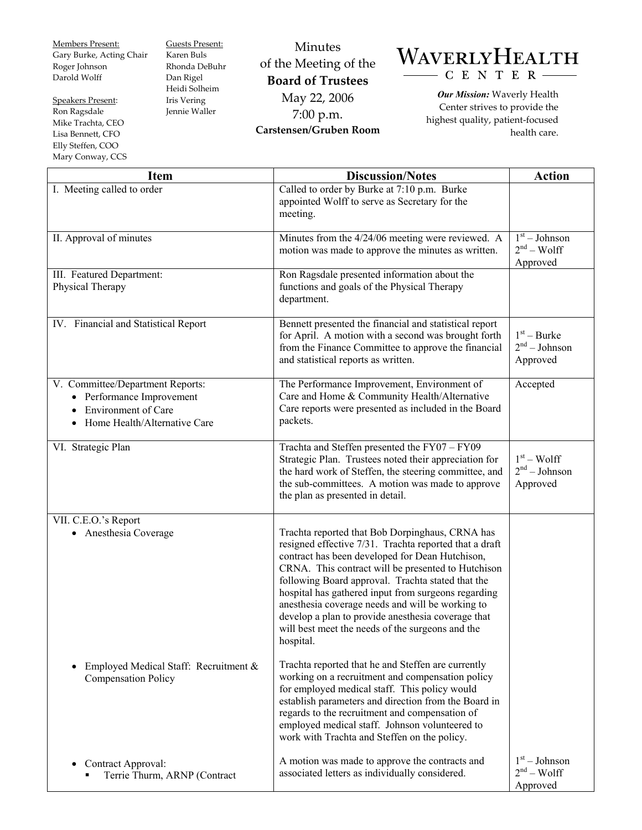Members Present: Gary Burke, Acting Chair Roger Johnson Darold Wolff

Speakers Present: Ron Ragsdale Mike Trachta, CEO Lisa Bennett, CFO Elly Steffen, COO Mary Conway, CCS Guests Present: Karen Buls Rhonda DeBuhr Dan Rigel Heidi Solheim Iris Vering Jennie Waller

Minutes of the Meeting of the **Board of Trustees**  May 22, 2006 7:00 p.m. **Carstensen/Gruben Room** 

## WAVERLYHEALTH CENTER-

*Our Mission:* Waverly Health Center strives to provide the highest quality, patient-focused health care.

| <b>Item</b>                                                                                                                                           | <b>Discussion/Notes</b>                                                                                                                                                                                                                                                                                                                                                                                                                                                                                   | <b>Action</b>                                         |
|-------------------------------------------------------------------------------------------------------------------------------------------------------|-----------------------------------------------------------------------------------------------------------------------------------------------------------------------------------------------------------------------------------------------------------------------------------------------------------------------------------------------------------------------------------------------------------------------------------------------------------------------------------------------------------|-------------------------------------------------------|
| I. Meeting called to order                                                                                                                            | Called to order by Burke at 7:10 p.m. Burke<br>appointed Wolff to serve as Secretary for the<br>meeting.                                                                                                                                                                                                                                                                                                                                                                                                  |                                                       |
| II. Approval of minutes                                                                                                                               | Minutes from the 4/24/06 meeting were reviewed. A<br>motion was made to approve the minutes as written.                                                                                                                                                                                                                                                                                                                                                                                                   | $1st - Johnson$<br>$2nd - Wolf$<br>Approved           |
| III. Featured Department:<br>Physical Therapy                                                                                                         | Ron Ragsdale presented information about the<br>functions and goals of the Physical Therapy<br>department.                                                                                                                                                                                                                                                                                                                                                                                                |                                                       |
| IV. Financial and Statistical Report                                                                                                                  | Bennett presented the financial and statistical report<br>for April. A motion with a second was brought forth<br>from the Finance Committee to approve the financial<br>and statistical reports as written.                                                                                                                                                                                                                                                                                               | $1st - Burke$<br>$2nd - Johnson$<br>Approved          |
| V. Committee/Department Reports:<br>• Performance Improvement<br><b>Environment of Care</b><br>$\bullet$<br>Home Health/Alternative Care<br>$\bullet$ | The Performance Improvement, Environment of<br>Care and Home & Community Health/Alternative<br>Care reports were presented as included in the Board<br>packets.                                                                                                                                                                                                                                                                                                                                           | Accepted                                              |
| VI. Strategic Plan                                                                                                                                    | Trachta and Steffen presented the FY07 $-\overline{FY09}$<br>Strategic Plan. Trustees noted their appreciation for<br>the hard work of Steffen, the steering committee, and<br>the sub-committees. A motion was made to approve<br>the plan as presented in detail.                                                                                                                                                                                                                                       | $1st - Wolf$<br>2 <sup>nd</sup> – Johnson<br>Approved |
| VII. C.E.O.'s Report<br>• Anesthesia Coverage                                                                                                         | Trachta reported that Bob Dorpinghaus, CRNA has<br>resigned effective 7/31. Trachta reported that a draft<br>contract has been developed for Dean Hutchison,<br>CRNA. This contract will be presented to Hutchison<br>following Board approval. Trachta stated that the<br>hospital has gathered input from surgeons regarding<br>anesthesia coverage needs and will be working to<br>develop a plan to provide anesthesia coverage that<br>will best meet the needs of the surgeons and the<br>hospital. |                                                       |
| Employed Medical Staff: Recruitment &<br><b>Compensation Policy</b>                                                                                   | Trachta reported that he and Steffen are currently<br>working on a recruitment and compensation policy<br>for employed medical staff. This policy would<br>establish parameters and direction from the Board in<br>regards to the recruitment and compensation of<br>employed medical staff. Johnson volunteered to<br>work with Trachta and Steffen on the policy.                                                                                                                                       |                                                       |
| Contract Approval:<br>Terrie Thurm, ARNP (Contract                                                                                                    | A motion was made to approve the contracts and<br>associated letters as individually considered.                                                                                                                                                                                                                                                                                                                                                                                                          | $1st - Johnson$<br>$2nd - Wolf$<br>Approved           |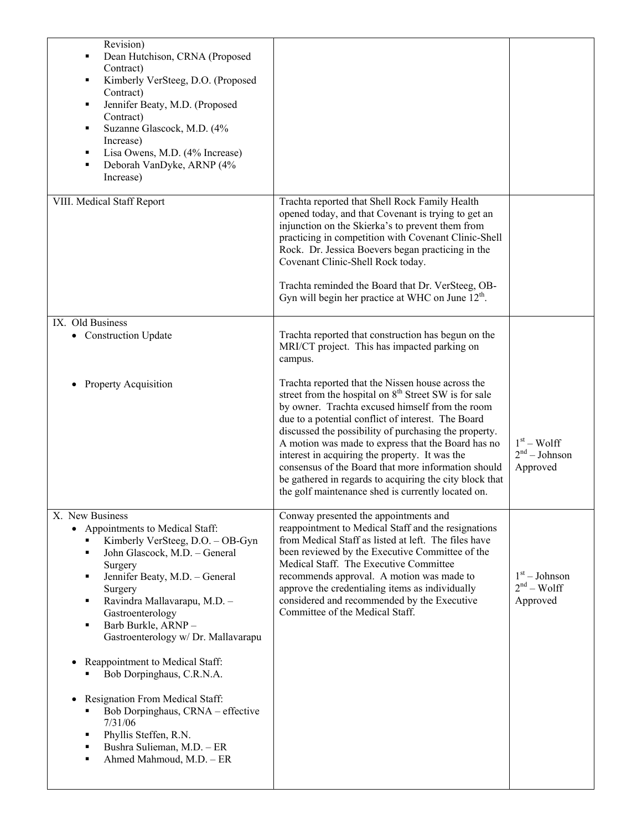| Revision)<br>Dean Hutchison, CRNA (Proposed<br>٠<br>Contract)<br>Kimberly VerSteeg, D.O. (Proposed<br>٠<br>Contract)<br>Jennifer Beaty, M.D. (Proposed<br>٠<br>Contract)<br>Suzanne Glascock, M.D. (4%<br>٠<br>Increase)<br>Lisa Owens, M.D. (4% Increase)<br>٠<br>Deborah VanDyke, ARNP (4%<br>٠<br>Increase)        |                                                                                                                                                                                                                                                                                                                                                                                                                                                                                                                                                                          |                                                       |
|-----------------------------------------------------------------------------------------------------------------------------------------------------------------------------------------------------------------------------------------------------------------------------------------------------------------------|--------------------------------------------------------------------------------------------------------------------------------------------------------------------------------------------------------------------------------------------------------------------------------------------------------------------------------------------------------------------------------------------------------------------------------------------------------------------------------------------------------------------------------------------------------------------------|-------------------------------------------------------|
| VIII. Medical Staff Report                                                                                                                                                                                                                                                                                            | Trachta reported that Shell Rock Family Health<br>opened today, and that Covenant is trying to get an<br>injunction on the Skierka's to prevent them from<br>practicing in competition with Covenant Clinic-Shell<br>Rock. Dr. Jessica Boevers began practicing in the<br>Covenant Clinic-Shell Rock today.<br>Trachta reminded the Board that Dr. VerSteeg, OB-<br>Gyn will begin her practice at WHC on June $12th$ .                                                                                                                                                  |                                                       |
| IX. Old Business<br>• Construction Update                                                                                                                                                                                                                                                                             | Trachta reported that construction has begun on the<br>MRI/CT project. This has impacted parking on<br>campus.                                                                                                                                                                                                                                                                                                                                                                                                                                                           |                                                       |
| Property Acquisition<br>٠                                                                                                                                                                                                                                                                                             | Trachta reported that the Nissen house across the<br>street from the hospital on 8 <sup>th</sup> Street SW is for sale<br>by owner. Trachta excused himself from the room<br>due to a potential conflict of interest. The Board<br>discussed the possibility of purchasing the property.<br>A motion was made to express that the Board has no<br>interest in acquiring the property. It was the<br>consensus of the Board that more information should<br>be gathered in regards to acquiring the city block that<br>the golf maintenance shed is currently located on. | $1st - Wolf$<br>2 <sup>nd</sup> – Johnson<br>Approved |
| X. New Business<br>• Appointments to Medical Staff:<br>Kimberly VerSteeg, D.O. - OB-Gyn<br>John Glascock, M.D. - General<br>п<br>Surgery<br>Jennifer Beaty, M.D. - General<br>٠<br>Surgery<br>Ravindra Mallavarapu, M.D. -<br>٠<br>Gastroenterology<br>Barb Burkle, ARNP-<br>Ξ<br>Gastroenterology w/ Dr. Mallavarapu | Conway presented the appointments and<br>reappointment to Medical Staff and the resignations<br>from Medical Staff as listed at left. The files have<br>been reviewed by the Executive Committee of the<br>Medical Staff. The Executive Committee<br>recommends approval. A motion was made to<br>approve the credentialing items as individually<br>considered and recommended by the Executive<br>Committee of the Medical Staff.                                                                                                                                      | $1st - Johnson$<br>$2nd - Wolf$<br>Approved           |
| Reappointment to Medical Staff:<br>Bob Dorpinghaus, C.R.N.A.<br>Resignation From Medical Staff:<br>$\bullet$                                                                                                                                                                                                          |                                                                                                                                                                                                                                                                                                                                                                                                                                                                                                                                                                          |                                                       |
| Bob Dorpinghaus, CRNA - effective<br>7/31/06<br>Phyllis Steffen, R.N.<br>٠<br>Bushra Sulieman, M.D. - ER<br>٠<br>Ahmed Mahmoud, M.D. - ER<br>п                                                                                                                                                                        |                                                                                                                                                                                                                                                                                                                                                                                                                                                                                                                                                                          |                                                       |